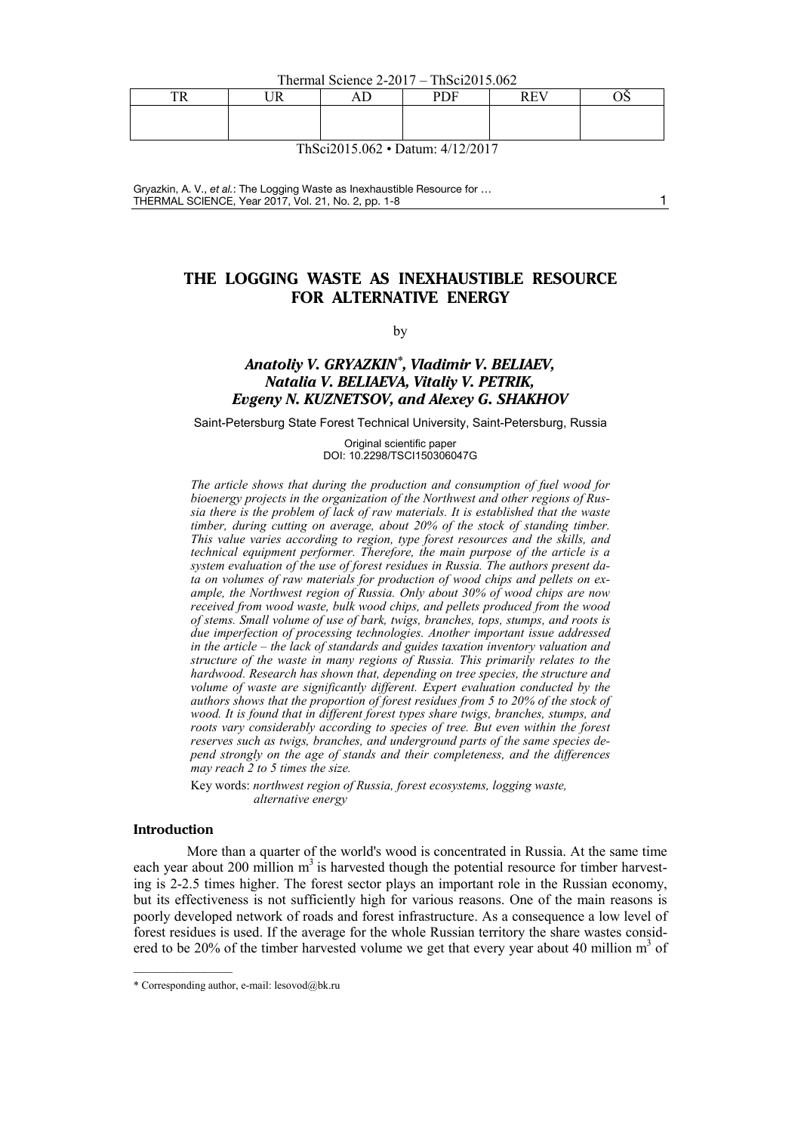Thermal Science 2-2017 – ThSci2015.062

| mn | - -- | . | <b>DDD</b> | <b>DOM:</b> |  |
|----|------|---|------------|-------------|--|
|    |      |   |            |             |  |

ThSci2015.062 • Datum: 4/12/2017

Gryazkin, A. V., *et al.*: The Logging Waste as Inexhaustible Resource for … THERMAL SCIENCE, Year 2017, Vol. 21, No. 2, pp[. 1-](#page-0-0)[8](#page-7-0) 1

# **THE LOGGING WASTE AS INEXHAUSTIBLE RESOURCE FOR ALTERNATIVE ENERGY**

<span id="page-0-0"></span>by

## *Anatoliy V. GRYAZKIN[\\*](#page-0-1), Vladimir V. BELIAEV, Natalia V. BELIAEVA, Vitaliy V. PETRIK, Evgeny N. KUZNETSOV, and Alexey G. SHAKHOV*

Saint-Petersburg State Forest Technical University, Saint-Petersburg, Russia

Original scientific paper DOI: 10.2298/TSCI150306047G

*The article shows that during the production and consumption of fuel wood for bioenergy projects in the organization of the Northwest and other regions of Russia there is the problem of lack of raw materials. It is established that the waste timber, during cutting on average, about 20% of the stock of standing timber. This value varies according to region, type forest resources and the skills, and technical equipment performer. Therefore, the main purpose of the article is a system evaluation of the use of forest residues in Russia. The authors present data on volumes of raw materials for production of wood chips and pellets on example, the Northwest region of Russia. Only about 30% of wood chips are now received from wood waste, bulk wood chips, and pellets produced from the wood of stems. Small volume of use of bark, twigs, branches, tops, stumps, and roots is due imperfection of processing technologies. Another important issue addressed in the article – the lack of standards and guides taxation inventory valuation and structure of the waste in many regions of Russia. This primarily relates to the hardwood. Research has shown that, depending on tree species, the structure and volume of waste are significantly different. Expert evaluation conducted by the authors shows that the proportion of forest residues from 5 to 20% of the stock of wood. It is found that in different forest types share twigs, branches, stumps, and roots vary considerably according to species of tree. But even within the forest reserves such as twigs, branches, and underground parts of the same species depend strongly on the age of stands and their completeness, and the differences may reach 2 to 5 times the size.*

Key words: *northwest region of Russia, forest ecosystems, logging waste, alternative energy*

## **Introduction**

––––––––––––––

More than a quarter of the world's wood is concentrated in Russia. At the same time each year about 200 million  $m<sup>3</sup>$  is harvested though the potential resource for timber harvesting is 2-2.5 times higher. The forest sector plays an important role in the Russian economy, but its effectiveness is not sufficiently high for various reasons. One of the main reasons is poorly developed network of roads and forest infrastructure. As a consequence a low level of forest residues is used. If the average for the whole Russian territory the share wastes considered to be 20% of the timber harvested volume we get that every year about 40 million  $m<sup>3</sup>$  of

<span id="page-0-1"></span><sup>\*</sup> Corresponding author, e-mail: [lesovod@bk.ru](mailto:lesovod@bk.ru)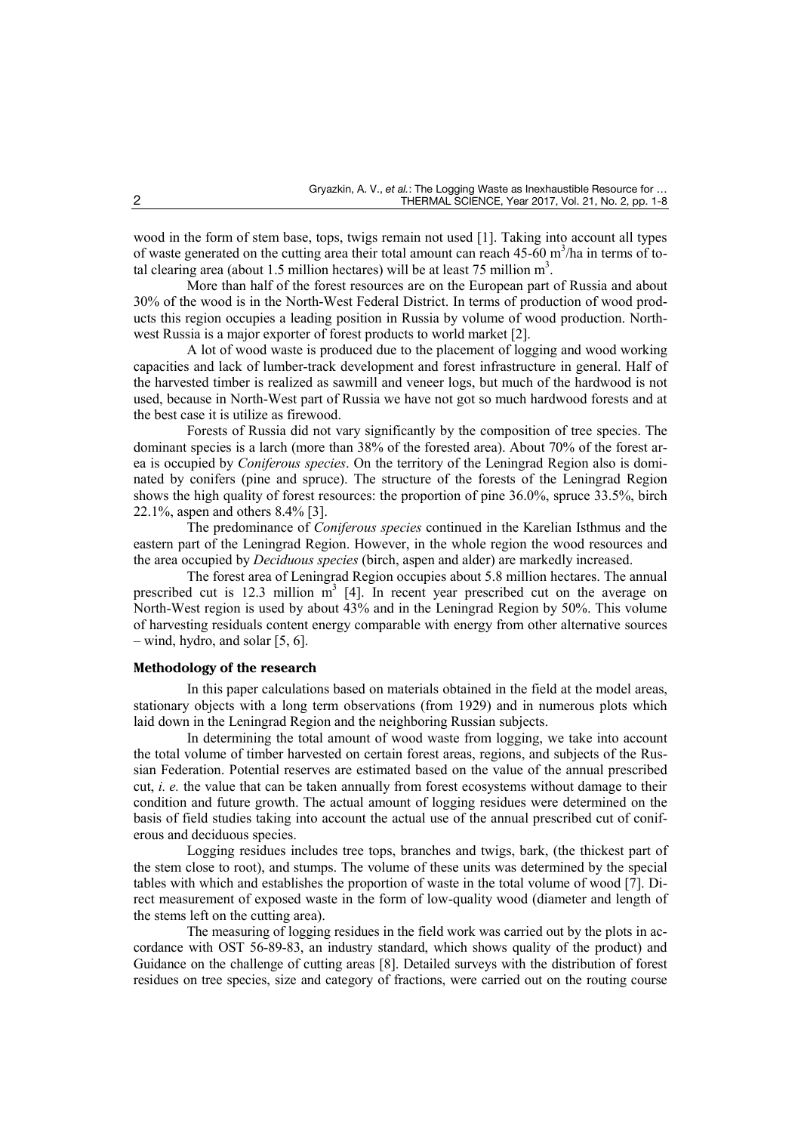wood in the form of stem base, tops, twigs remain not used [1]. Taking into account all types of waste generated on the cutting area their total amount can reach  $45-60 \text{ m}^3/\text{ha}$  in terms of total clearing area (about 1.5 million hectares) will be at least 75 million  $m^3$ .

More than half of the forest resources are on the European part of Russia and about 30% of the wood is in the North-West Federal District. In terms of production of wood products this region occupies a leading position in Russia by volume of wood production. Northwest Russia is a major exporter of forest products to world market [2].

A lot of wood waste is produced due to the placement of logging and wood working capacities and lack of lumber-track development and forest infrastructure in general. Half of the harvested timber is realized as sawmill and veneer logs, but much of the hardwood is not used, because in North-West part of Russia we have not got so much hardwood forests and at the best case it is utilize as firewood.

Forests of Russia did not vary significantly by the composition of tree species. The dominant species is a larch (more than 38% of the forested area). About 70% of the forest area is occupied by *Coniferous species*. On the territory of the Leningrad Region also is dominated by conifers (pine and spruce). The structure of the forests of the Leningrad Region shows the high quality of forest resources: the proportion of pine 36.0%, spruce 33.5%, birch 22.1%, aspen and others 8.4% [3].

The predominance of *Coniferous species* continued in the Karelian Isthmus and the eastern part of the Leningrad Region. However, in the whole region the wood resources and the area occupied by *Deciduous species* (birch, aspen and alder) are markedly increased.

The forest area of Leningrad Region occupies about 5.8 million hectares. The annual prescribed cut is 12.3 million  $m<sup>3</sup>$  [4]. In recent year prescribed cut on the average on North-West region is used by about 43% and in the Leningrad Region by 50%. This volume of harvesting residuals content energy comparable with energy from other alternative sources – wind, hydro, and solar [5, 6].

## **Methodology of the research**

In this paper calculations based on materials obtained in the field at the model areas, stationary objects with a long term observations (from 1929) and in numerous plots which laid down in the Leningrad Region and the neighboring Russian subjects.

In determining the total amount of wood waste from logging, we take into account the total volume of timber harvested on certain forest areas, regions, and subjects of the Russian Federation. Potential reserves are estimated based on the value of the annual prescribed cut, *i. e.* the value that can be taken annually from forest ecosystems without damage to their condition and future growth. The actual amount of logging residues were determined on the basis of field studies taking into account the actual use of the annual prescribed cut of coniferous and deciduous species.

Logging residues includes tree tops, branches and twigs, bark, (the thickest part of the stem close to root), and stumps. The volume of these units was determined by the special tables with which and establishes the proportion of waste in the total volume of wood [7]. Direct measurement of exposed waste in the form of low-quality wood (diameter and length of the stems left on the cutting area).

The measuring of logging residues in the field work was carried out by the plots in accordance with OST 56-89-83, an industry standard, which shows quality of the product) and Guidance on the challenge of cutting areas [8]. Detailed surveys with the distribution of forest residues on tree species, size and category of fractions, were carried out on the routing course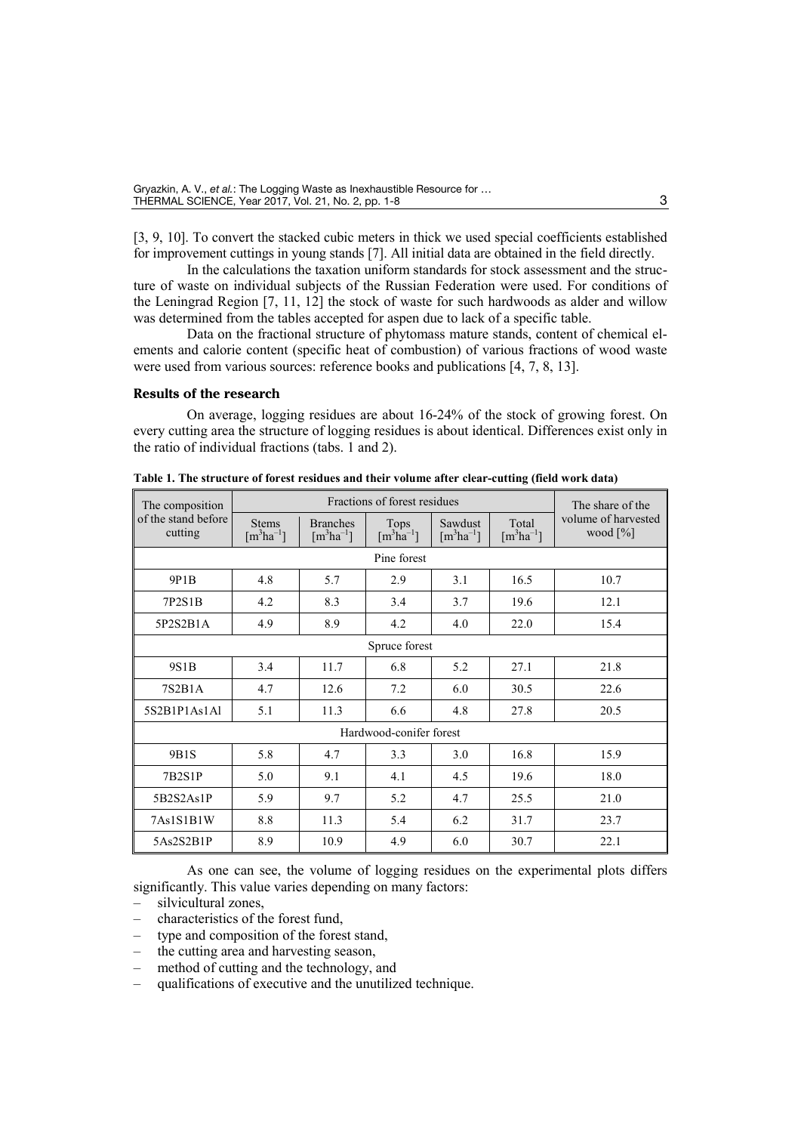[3, 9, 10]. To convert the stacked cubic meters in thick we used special coefficients established for improvement cuttings in young stands [7]. All initial data are obtained in the field directly.

In the calculations the taxation uniform standards for stock assessment and the structure of waste on individual subjects of the Russian Federation were used. For conditions of the Leningrad Region [7, 11, 12] the stock of waste for such hardwoods as alder and willow was determined from the tables accepted for aspen due to lack of a specific table.

Data on the fractional structure of phytomass mature stands, content of chemical elements and calorie content (specific heat of combustion) of various fractions of wood waste were used from various sources: reference books and publications [4, 7, 8, 13].

## **Results of the research**

On average, logging residues are about 16-24% of the stock of growing forest. On every cutting area the structure of logging residues is about identical. Differences exist only in the ratio of individual fractions (tabs. 1 and 2).

| The composition                |                                           |                                              | Fractions of forest residues                    |                                      |                                    | The share of the                   |
|--------------------------------|-------------------------------------------|----------------------------------------------|-------------------------------------------------|--------------------------------------|------------------------------------|------------------------------------|
| of the stand before<br>cutting | <b>Stems</b><br>$\lceil m^3ha^{-1}\rceil$ | <b>Branches</b><br>$\lceil m^3ha^{-1}\rceil$ | Tops<br>$\left[\text{m}^3\text{ha}^{-1}\right]$ | Sawdust<br>$\lceil m^3ha^{-1}\rceil$ | Total<br>$\lceil m^3ha^{-1}\rceil$ | volume of harvested<br>wood $[\%]$ |
|                                |                                           |                                              | Pine forest                                     |                                      |                                    |                                    |
| 9P1B                           | 4.8                                       | 5.7                                          | 2.9                                             | 3.1                                  | 16.5                               | 10.7                               |
| 7P2S1B                         | 4.2                                       | 8.3                                          | 3.4                                             | 3.7                                  | 19.6                               | 12.1                               |
| 5P2S2B1A                       | 4.9                                       | 8.9                                          | 4.2                                             | 4.0                                  | 22.0                               | 15.4                               |
|                                | Spruce forest                             |                                              |                                                 |                                      |                                    |                                    |
| 9S1B                           | 3.4                                       | 11.7                                         | 6.8                                             | 5.2                                  | 27.1                               | 21.8                               |
| 7S2B1A                         | 4.7                                       | 12.6                                         | 7.2                                             | 6.0                                  | 30.5                               | 22.6                               |
| 5S2B1P1As1Al                   | 5.1                                       | 11.3                                         | 6.6                                             | 4.8                                  | 27.8                               | 20.5                               |
|                                | Hardwood-conifer forest                   |                                              |                                                 |                                      |                                    |                                    |
| 9B1S                           | 5.8                                       | 4.7                                          | 3.3                                             | 3.0                                  | 16.8                               | 15.9                               |
| 7B2S1P                         | 5.0                                       | 9.1                                          | 4.1                                             | 4.5                                  | 19.6                               | 18.0                               |
| 5B2S2As1P                      | 5.9                                       | 9.7                                          | 5.2                                             | 4.7                                  | 25.5                               | 21.0                               |
| 7As1S1B1W                      | 8.8                                       | 11.3                                         | 5.4                                             | 6.2                                  | 31.7                               | 23.7                               |
| 5As2S2B1P                      | 8.9                                       | 10.9                                         | 4.9                                             | 6.0                                  | 30.7                               | 22.1                               |

**Table 1. The structure of forest residues and their volume after clear-cutting (field work data)**

As one can see, the volume of logging residues on the experimental plots differs significantly. This value varies depending on many factors:

- silvicultural zones,
- characteristics of the forest fund,
- type and composition of the forest stand,
- the cutting area and harvesting season,
- method of cutting and the technology, and
- qualifications of executive and the unutilized technique.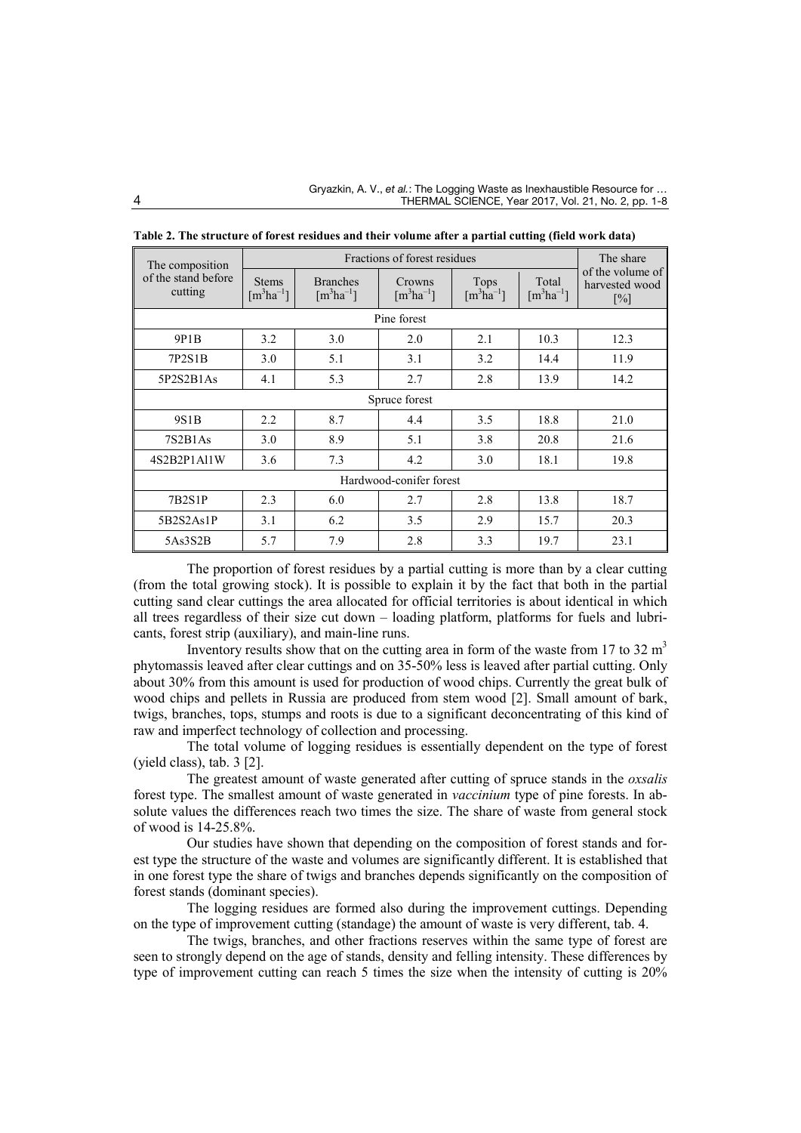| The composition                |                                           |                                              | Fractions of forest residues        |                                                        |                                    | The share<br>of the volume of<br>harvested wood<br>$\lceil\% \rceil$ |
|--------------------------------|-------------------------------------------|----------------------------------------------|-------------------------------------|--------------------------------------------------------|------------------------------------|----------------------------------------------------------------------|
| of the stand before<br>cutting | <b>Stems</b><br>$\lceil m^3ha^{-1}\rceil$ | <b>Branches</b><br>$\lceil m^3ha^{-1}\rceil$ | Crowns<br>$\lceil m^3ha^{-1}\rceil$ | <b>Tops</b><br>$\left[\text{m}^3\text{ha}^{-1}\right]$ | Total<br>$\lceil m^3ha^{-1}\rceil$ |                                                                      |
|                                |                                           |                                              | Pine forest                         |                                                        |                                    |                                                                      |
| 9P1B                           | 3.2                                       | 3.0                                          | 2.0                                 | 2.1                                                    | 10.3                               | 12.3                                                                 |
| 7P2S1B                         | 3.0                                       | 5.1                                          | 3.1                                 | 3.2                                                    | 14.4                               | 11.9                                                                 |
| 5P2S2B1As                      | 4.1                                       | 5.3                                          | 2.7                                 | 2.8                                                    | 13.9                               | 14.2                                                                 |
|                                | Spruce forest                             |                                              |                                     |                                                        |                                    |                                                                      |
| 9S1B                           | 2.2                                       | 8.7                                          | 4.4                                 | 3.5                                                    | 18.8                               | 21.0                                                                 |
| 7S2B1As                        | 3.0                                       | 8.9                                          | 5.1                                 | 3.8                                                    | 20.8                               | 21.6                                                                 |
| 4S2B2P1Al1W                    | 3.6                                       | 7.3                                          | 4.2                                 | 3.0                                                    | 18.1                               | 19.8                                                                 |
| Hardwood-conifer forest        |                                           |                                              |                                     |                                                        |                                    |                                                                      |
| 7B2S1P                         | 2.3                                       | 6.0                                          | 2.7                                 | 2.8                                                    | 13.8                               | 18.7                                                                 |
| 5B2S2As1P                      | 3.1                                       | 6.2                                          | 3.5                                 | 2.9                                                    | 15.7                               | 20.3                                                                 |
| 5As3S2B                        | 5.7                                       | 7.9                                          | 2.8                                 | 3.3                                                    | 19.7                               | 23.1                                                                 |

**Table 2. The structure of forest residues and their volume after a partial cutting (field work data)**

The proportion of forest residues by a partial cutting is more than by a clear cutting (from the total growing stock). It is possible to explain it by the fact that both in the partial cutting sand clear cuttings the area allocated for official territories is about identical in which all trees regardless of their size cut down – loading platform, platforms for fuels and lubricants, forest strip (auxiliary), and main-line runs.

Inventory results show that on the cutting area in form of the waste from 17 to 32  $m<sup>3</sup>$ phytomassis leaved after clear cuttings and on 35-50% less is leaved after partial cutting. Only about 30% from this amount is used for production of wood chips. Currently the great bulk of wood chips and pellets in Russia are produced from stem wood [2]. Small amount of bark, twigs, branches, tops, stumps and roots is due to a significant deconcentrating of this kind of raw and imperfect technology of collection and processing.

The total volume of logging residues is essentially dependent on the type of forest (yield class), tab. 3 [2].

The greatest amount of waste generated after cutting of spruce stands in the *oxsalis* forest type. The smallest amount of waste generated in *vaccinium* type of pine forests. In absolute values the differences reach two times the size. The share of waste from general stock of wood is 14-25.8%.

Our studies have shown that depending on the composition of forest stands and forest type the structure of the waste and volumes are significantly different. It is established that in one forest type the share of twigs and branches depends significantly on the composition of forest stands (dominant species).

The logging residues are formed also during the improvement cuttings. Depending on the type of improvement cutting (standage) the amount of waste is very different, tab. 4.

The twigs, branches, and other fractions reserves within the same type of forest are seen to strongly depend on the age of stands, density and felling intensity. These differences by type of improvement cutting can reach 5 times the size when the intensity of cutting is 20%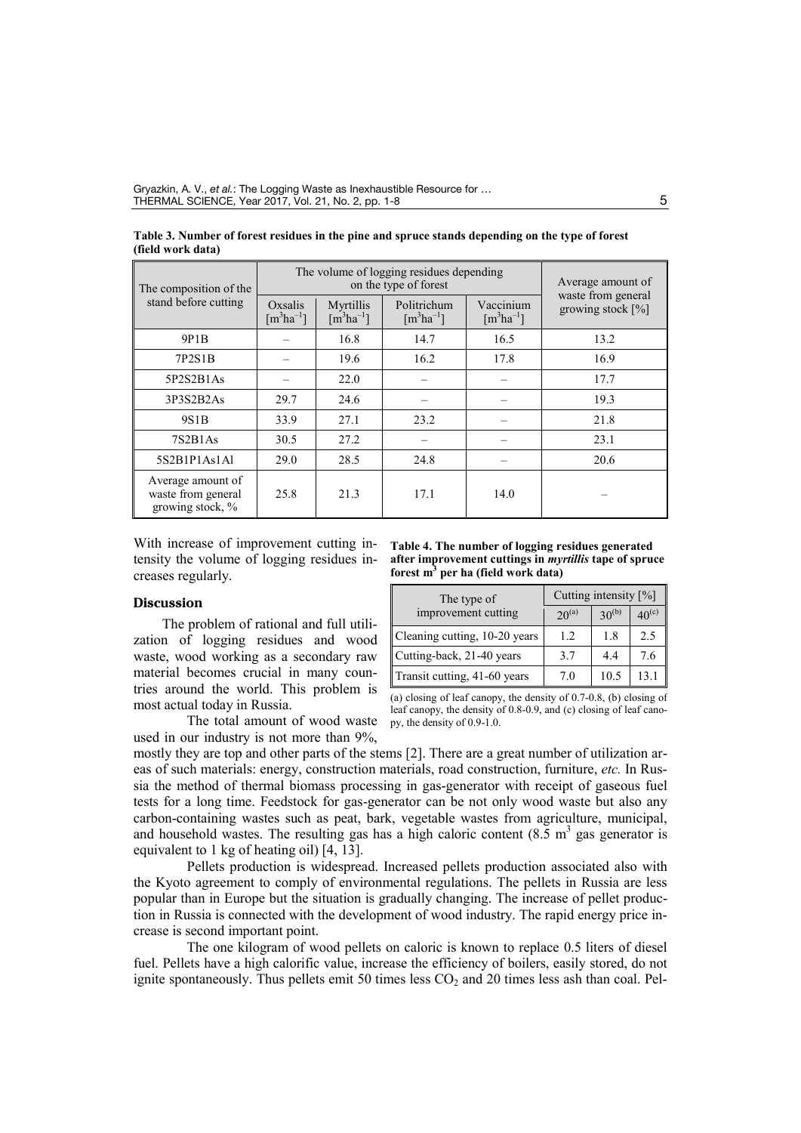| The composition of the                                      | The volume of logging residues depending<br>on the type of forest |                                                      |                                          |                                        | Average amount of                          |
|-------------------------------------------------------------|-------------------------------------------------------------------|------------------------------------------------------|------------------------------------------|----------------------------------------|--------------------------------------------|
| stand before cutting                                        | Oxsalis<br>$\lceil m^3$ ha $^{-1}$ ]                              | Myrtillis<br>$\left[\text{m}^3\text{ha}^{-1}\right]$ | Politrichum<br>$\lceil m^3ha^{-1}\rceil$ | Vaccinium<br>$\lceil m^3ha^{-1}\rceil$ | waste from general<br>growing stock $[\%]$ |
| 9P1B                                                        |                                                                   | 16.8                                                 | 14.7                                     | 16.5                                   | 13.2                                       |
| 7P2S1B                                                      |                                                                   | 19.6                                                 | 16.2                                     | 17.8                                   | 16.9                                       |
| 5P2S2B1As                                                   |                                                                   | 22.0                                                 |                                          |                                        | 17.7                                       |
| 3P3S2B2As                                                   | 29.7                                                              | 24.6                                                 |                                          |                                        | 19.3                                       |
| 9S1B                                                        | 33.9                                                              | 27.1                                                 | 23.2                                     |                                        | 21.8                                       |
| 7S2B1As                                                     | 30.5                                                              | 27.2                                                 |                                          |                                        | 23.1                                       |
| 5S2B1P1As1Al                                                | 29.0                                                              | 28.5                                                 | 24.8                                     |                                        | 20.6                                       |
| Average amount of<br>waste from general<br>growing stock, % | 25.8                                                              | 21.3                                                 | 17.1                                     | 14.0                                   |                                            |

**Table 3. Number of forest residues in the pine and spruce stands depending on the type of forest (field work data)**

With increase of improvement cutting intensity the volume of logging residues increases regularly.

#### **Discussion**

The problem of rational and full utilization of logging residues and wood waste, wood working as a secondary raw material becomes crucial in many countries around the world. This problem is most actual today in Russia.

The total amount of wood waste used in our industry is not more than 9%,

**Table 4. The number of logging residues generated after improvement cuttings in** *myrtillis* **tape of spruce forest m3 per ha (field work data)**

| The type of                   | Cutting intensity [%] |            |            |  |
|-------------------------------|-----------------------|------------|------------|--|
| improvement cutting           | $20^{(a)}$            | $30^{(b)}$ | $40^{(c)}$ |  |
| Cleaning cutting, 10-20 years | 12                    | 1.8        | 2.5        |  |
| Cutting-back, 21-40 years     | 3.7                   | 4.4        | 7.6        |  |
| Transit cutting, 41-60 years  | 7.0                   | 10.5       | 13.1       |  |

(a) closing of leaf canopy, the density of 0.7-0.8, (b) closing of leaf canopy, the density of 0.8-0.9, and (c) closing of leaf canopy, the density of 0.9-1.0.

mostly they are top and other parts of the stems [2]. There are a great number of utilization areas of such materials: energy, construction materials, road construction, furniture, *etc.* In Russia the method of thermal biomass processing in gas-generator with receipt of gaseous fuel tests for a long time. Feedstock for gas-generator can be not only wood waste but also any carbon-containing wastes such as peat, bark, vegetable wastes from agriculture, municipal, and household wastes. The resulting gas has a high caloric content  $(8.5 \text{ m}^3)$  gas generator is equivalent to 1 kg of heating oil) [4, 13].

Pellets production is widespread. Increased pellets production associated also with the Kyoto agreement to comply of environmental regulations. The pellets in Russia are less popular than in Europe but the situation is gradually changing. The increase of pellet production in Russia is connected with the development of wood industry. The rapid energy price increase is second important point.

The one kilogram of wood pellets on caloric is known to replace 0.5 liters of diesel fuel. Pellets have a high calorific value, increase the efficiency of boilers, easily stored, do not ignite spontaneously. Thus pellets emit 50 times less  $CO<sub>2</sub>$  and 20 times less ash than coal. Pel-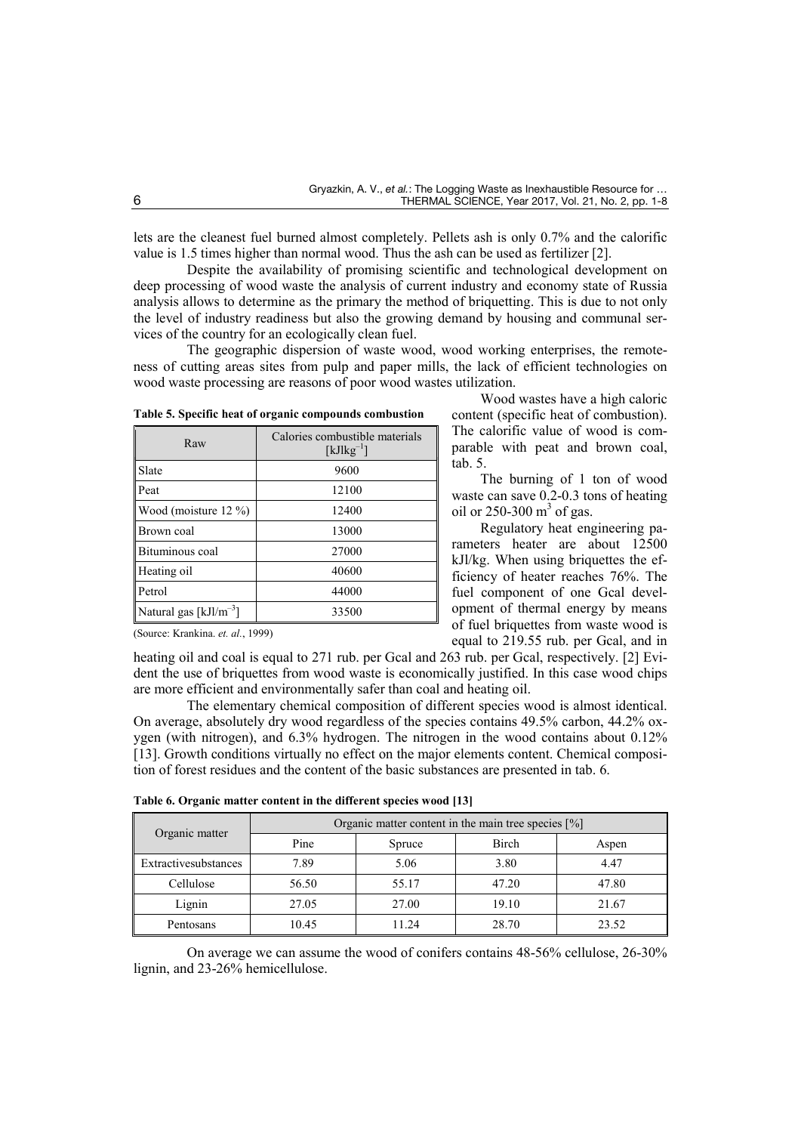tab. 5.

Wood wastes have a high caloric content (specific heat of combustion). The calorific value of wood is comparable with peat and brown coal,

The burning of 1 ton of wood waste can save 0.2-0.3 tons of heating

Regulatory heat engineering parameters heater are about 12500 kJl/kg. When using briquettes the efficiency of heater reaches 76%. The fuel component of one Gcal development of thermal energy by means of fuel briquettes from waste wood is equal to 219.55 rub. per Gcal, and in

oil or  $250-300$  m<sup>3</sup> of gas.

lets are the cleanest fuel burned almost completely. Pellets ash is only 0.7% and the calorific value is 1.5 times higher than normal wood. Thus the ash can be used as fertilizer [2].

Despite the availability of promising scientific and technological development on deep processing of wood waste the analysis of current industry and economy state of Russia analysis allows to determine as the primary the method of briquetting. This is due to not only the level of industry readiness but also the growing demand by housing and communal services of the country for an ecologically clean fuel.

The geographic dispersion of waste wood, wood working enterprises, the remoteness of cutting areas sites from pulp and paper mills, the lack of efficient technologies on wood waste processing are reasons of poor wood wastes utilization.

| Raw                                | Calories combustible materials<br>$\lceil kJlkg^{-1}\rceil$ |
|------------------------------------|-------------------------------------------------------------|
| Slate                              | 9600                                                        |
| Peat                               | 12100                                                       |
| Wood (moisture 12 %)               | 12400                                                       |
| Brown coal                         | 13000                                                       |
| Bituminous coal                    | 27000                                                       |
| Heating oil                        | 40600                                                       |
| Petrol                             | 44000                                                       |
| Natural gas [kJl/m <sup>-3</sup> ] | 33500                                                       |

**Table 5. Specific heat of organic compounds combustion** 

(Source: Krankina. *et. al.*, 1999)

heating oil and coal is equal to 271 rub. per Gcal and 263 rub. per Gcal, respectively. [2] Evident the use of briquettes from wood waste is economically justified. In this case wood chips are more efficient and environmentally safer than coal and heating oil.

The elementary chemical composition of different species wood is almost identical. On average, absolutely dry wood regardless of the species contains 49.5% carbon, 44.2% oxygen (with nitrogen), and 6.3% hydrogen. The nitrogen in the wood contains about 0.12% [13]. Growth conditions virtually no effect on the major elements content. Chemical composition of forest residues and the content of the basic substances are presented in tab. 6.

|                      | Organic matter content in the main tree species $[\%]$ |        |       |       |  |
|----------------------|--------------------------------------------------------|--------|-------|-------|--|
| Organic matter       | Pine                                                   | Spruce | Birch | Aspen |  |
| Extractivesubstances | 7.89                                                   | 5.06   | 3.80  | 4.47  |  |
| Cellulose            | 56.50                                                  | 55.17  | 47.20 | 47.80 |  |
| Lignin               | 27.05                                                  | 27.00  | 19.10 | 21.67 |  |
| Pentosans            | 10.45                                                  | 11.24  | 28.70 | 23.52 |  |

| Table 6. Organic matter content in the different species wood [13] |  |  |  |
|--------------------------------------------------------------------|--|--|--|
|--------------------------------------------------------------------|--|--|--|

On average we can assume the wood of conifers contains 48-56% cellulose, 26-30% lignin, and 23-26% hemicellulose.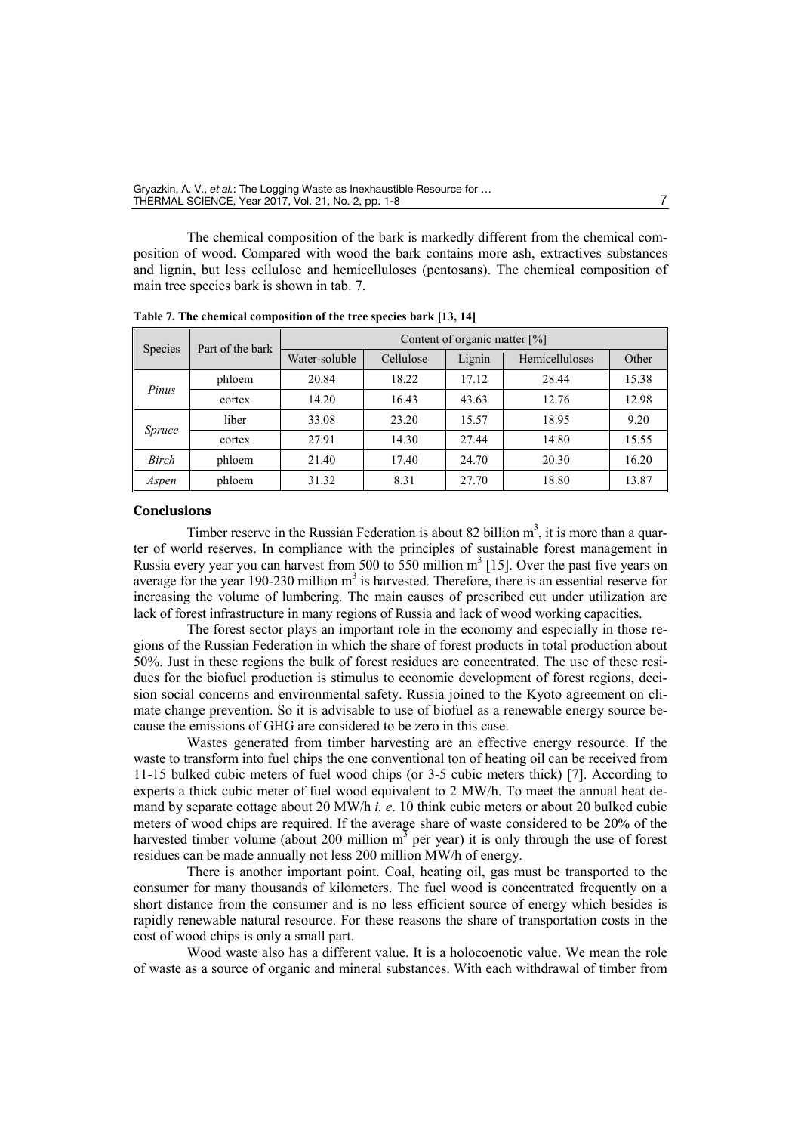The chemical composition of the bark is markedly different from the chemical composition of wood. Compared with wood the bark contains more ash, extractives substances and lignin, but less cellulose and hemicelluloses (pentosans). The chemical composition of main tree species bark is shown in tab. 7.

| Species | Part of the bark | Content of organic matter $[\%]$ |           |        |                       |       |  |
|---------|------------------|----------------------------------|-----------|--------|-----------------------|-------|--|
|         |                  | Water-soluble                    | Cellulose | Lignin | <b>Hemicelluloses</b> | Other |  |
| Pinus   | phloem           | 20.84                            | 18.22     | 17.12  | 28.44                 | 15.38 |  |
|         | cortex           | 14.20                            | 16.43     | 43.63  | 12.76                 | 12.98 |  |
| Spruce  | liber            | 33.08                            | 23.20     | 15.57  | 18.95                 | 9.20  |  |
|         | cortex           | 27.91                            | 14.30     | 27.44  | 14.80                 | 15.55 |  |
| Birch   | phloem           | 21.40                            | 17.40     | 24.70  | 20.30                 | 16.20 |  |
| Aspen   | phloem           | 31.32                            | 8.31      | 27.70  | 18.80                 | 13.87 |  |

**Table 7. The chemical composition of the tree species bark [13, 14]**

### **Conclusions**

Timber reserve in the Russian Federation is about 82 billion  $m<sup>3</sup>$ , it is more than a quarter of world reserves. In compliance with the principles of sustainable forest management in Russia every year you can harvest from 500 to 550 million  $m<sup>3</sup>$  [15]. Over the past five years on average for the year 190-230 million  $m<sup>3</sup>$  is harvested. Therefore, there is an essential reserve for increasing the volume of lumbering. The main causes of prescribed cut under utilization are lack of forest infrastructure in many regions of Russia and lack of wood working capacities.

The forest sector plays an important role in the economy and especially in those regions of the Russian Federation in which the share of forest products in total production about 50%. Just in these regions the bulk of forest residues are concentrated. The use of these residues for the biofuel production is stimulus to economic development of forest regions, decision social concerns and environmental safety. Russia joined to the Kyoto agreement on climate change prevention. So it is advisable to use of biofuel as a renewable energy source because the emissions of GHG are considered to be zero in this case.

Wastes generated from timber harvesting are an effective energy resource. If the waste to transform into fuel chips the one conventional ton of heating oil can be received from 11-15 bulked cubic meters of fuel wood chips (or 3-5 cubic meters thick) [7]. According to experts a thick cubic meter of fuel wood equivalent to 2 MW/h. To meet the annual heat demand by separate cottage about 20 MW/h *i. e*. 10 think cubic meters or about 20 bulked cubic meters of wood chips are required. If the average share of waste considered to be 20% of the harvested timber volume (about 200 million  $m<sup>3</sup>$  per year) it is only through the use of forest residues can be made annually not less 200 million MW/h of energy.

There is another important point. Coal, heating oil, gas must be transported to the consumer for many thousands of kilometers. The fuel wood is concentrated frequently on a short distance from the consumer and is no less efficient source of energy which besides is rapidly renewable natural resource. For these reasons the share of transportation costs in the cost of wood chips is only a small part.

Wood waste also has a different value. It is a holocoenotic value. We mean the role of waste as a source of organic and mineral substances. With each withdrawal of timber from